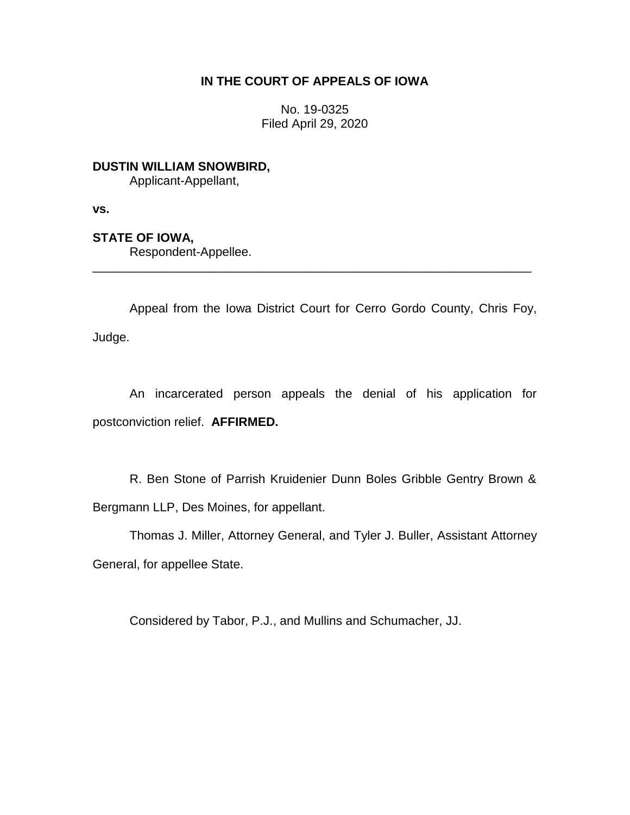## **IN THE COURT OF APPEALS OF IOWA**

No. 19-0325 Filed April 29, 2020

**DUSTIN WILLIAM SNOWBIRD,** Applicant-Appellant,

**vs.**

## **STATE OF IOWA,**

Respondent-Appellee.

Appeal from the Iowa District Court for Cerro Gordo County, Chris Foy, Judge.

\_\_\_\_\_\_\_\_\_\_\_\_\_\_\_\_\_\_\_\_\_\_\_\_\_\_\_\_\_\_\_\_\_\_\_\_\_\_\_\_\_\_\_\_\_\_\_\_\_\_\_\_\_\_\_\_\_\_\_\_\_\_\_\_

An incarcerated person appeals the denial of his application for postconviction relief. **AFFIRMED.**

R. Ben Stone of Parrish Kruidenier Dunn Boles Gribble Gentry Brown & Bergmann LLP, Des Moines, for appellant.

Thomas J. Miller, Attorney General, and Tyler J. Buller, Assistant Attorney General, for appellee State.

Considered by Tabor, P.J., and Mullins and Schumacher, JJ.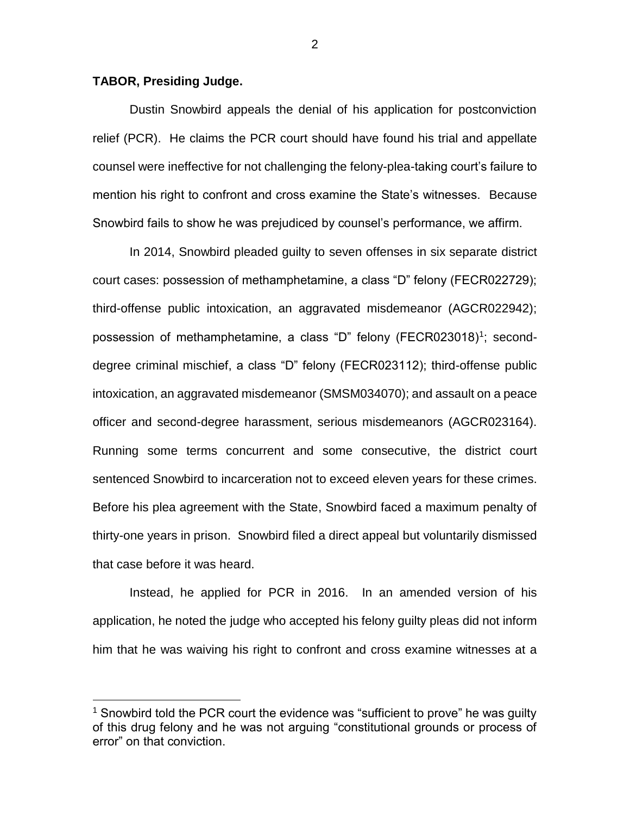## **TABOR, Presiding Judge.**

 $\overline{a}$ 

Dustin Snowbird appeals the denial of his application for postconviction relief (PCR). He claims the PCR court should have found his trial and appellate counsel were ineffective for not challenging the felony-plea-taking court's failure to mention his right to confront and cross examine the State's witnesses. Because Snowbird fails to show he was prejudiced by counsel's performance, we affirm.

In 2014, Snowbird pleaded guilty to seven offenses in six separate district court cases: possession of methamphetamine, a class "D" felony (FECR022729); third-offense public intoxication, an aggravated misdemeanor (AGCR022942); possession of methamphetamine, a class "D" felony (FECR023018)<sup>1</sup>; seconddegree criminal mischief, a class "D" felony (FECR023112); third-offense public intoxication, an aggravated misdemeanor (SMSM034070); and assault on a peace officer and second-degree harassment, serious misdemeanors (AGCR023164). Running some terms concurrent and some consecutive, the district court sentenced Snowbird to incarceration not to exceed eleven years for these crimes. Before his plea agreement with the State, Snowbird faced a maximum penalty of thirty-one years in prison. Snowbird filed a direct appeal but voluntarily dismissed that case before it was heard.

Instead, he applied for PCR in 2016. In an amended version of his application, he noted the judge who accepted his felony guilty pleas did not inform him that he was waiving his right to confront and cross examine witnesses at a

<sup>&</sup>lt;sup>1</sup> Snowbird told the PCR court the evidence was "sufficient to prove" he was guilty of this drug felony and he was not arguing "constitutional grounds or process of error" on that conviction.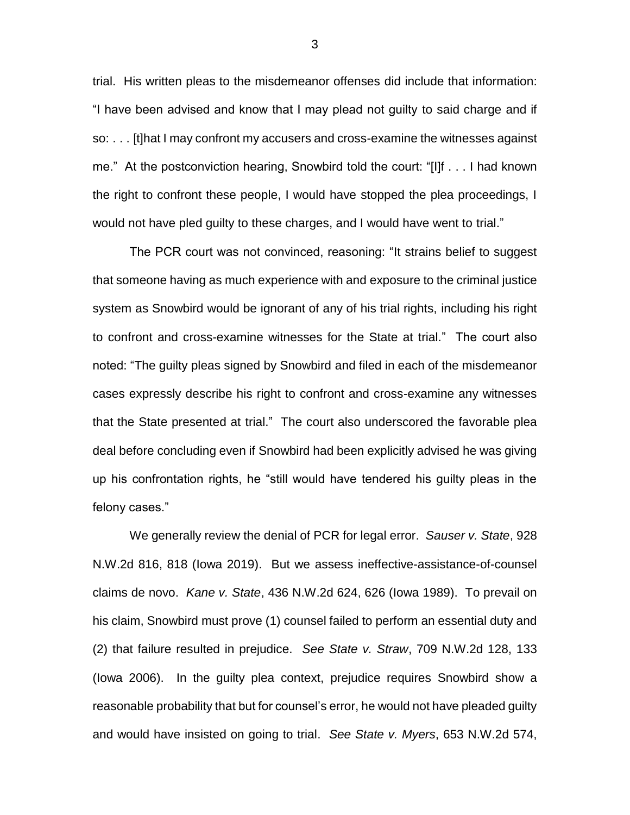trial. His written pleas to the misdemeanor offenses did include that information: "I have been advised and know that I may plead not guilty to said charge and if so: . . . [t]hat I may confront my accusers and cross-examine the witnesses against me." At the postconviction hearing, Snowbird told the court: "[I]f . . . I had known the right to confront these people, I would have stopped the plea proceedings, I would not have pled guilty to these charges, and I would have went to trial."

The PCR court was not convinced, reasoning: "It strains belief to suggest that someone having as much experience with and exposure to the criminal justice system as Snowbird would be ignorant of any of his trial rights, including his right to confront and cross-examine witnesses for the State at trial." The court also noted: "The guilty pleas signed by Snowbird and filed in each of the misdemeanor cases expressly describe his right to confront and cross-examine any witnesses that the State presented at trial." The court also underscored the favorable plea deal before concluding even if Snowbird had been explicitly advised he was giving up his confrontation rights, he "still would have tendered his guilty pleas in the felony cases."

We generally review the denial of PCR for legal error. *Sauser v. State*, 928 N.W.2d 816, 818 (Iowa 2019). But we assess ineffective-assistance-of-counsel claims de novo. *Kane v. State*, 436 N.W.2d 624, 626 (Iowa 1989). To prevail on his claim, Snowbird must prove (1) counsel failed to perform an essential duty and (2) that failure resulted in prejudice. *See State v. Straw*, 709 N.W.2d 128, 133 (Iowa 2006). In the guilty plea context, prejudice requires Snowbird show a reasonable probability that but for counsel's error, he would not have pleaded guilty and would have insisted on going to trial. *See State v. Myers*, 653 N.W.2d 574,

3